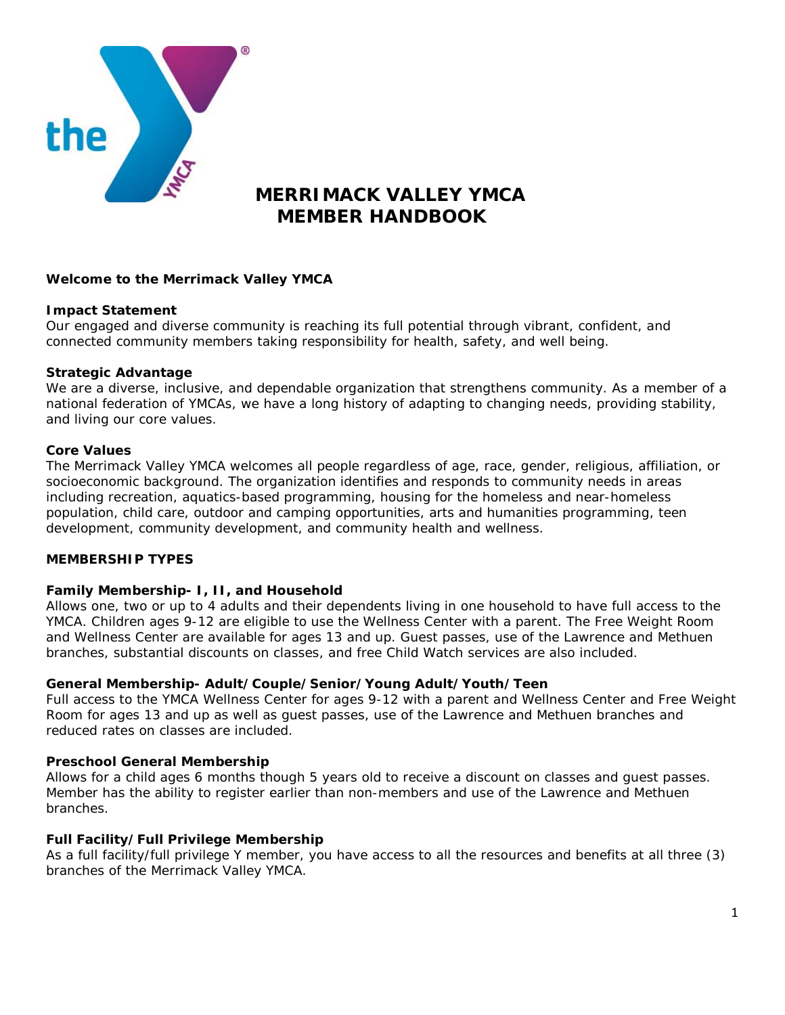

# **MERRIMACK VALLEY YMCA MEMBER HANDBOOK**

## **Welcome to the Merrimack Valley YMCA**

## **Impact Statement**

Our engaged and diverse community is reaching its full potential through vibrant, confident, and connected community members taking responsibility for health, safety, and well being.

#### **Strategic Advantage**

We are a diverse, inclusive, and dependable organization that strengthens community. As a member of a national federation of YMCAs, we have a long history of adapting to changing needs, providing stability, and living our core values.

#### **Core Values**

The Merrimack Valley YMCA welcomes all people regardless of age, race, gender, religious, affiliation, or socioeconomic background. The organization identifies and responds to community needs in areas including recreation, aquatics-based programming, housing for the homeless and near-homeless population, child care, outdoor and camping opportunities, arts and humanities programming, teen development, community development, and community health and wellness.

## **MEMBERSHIP TYPES**

## **Family Membership- I, II, and Household**

Allows one, two or up to 4 adults and their dependents living in one household to have full access to the YMCA. Children ages 9-12 are eligible to use the Wellness Center with a parent. The Free Weight Room and Wellness Center are available for ages 13 and up. Guest passes, use of the Lawrence and Methuen branches, substantial discounts on classes, and free Child Watch services are also included.

## **General Membership- Adult/Couple/Senior/Young Adult/Youth/Teen**

Full access to the YMCA Wellness Center for ages 9-12 with a parent and Wellness Center and Free Weight Room for ages 13 and up as well as guest passes, use of the Lawrence and Methuen branches and reduced rates on classes are included.

#### **Preschool General Membership**

Allows for a child ages 6 months though 5 years old to receive a discount on classes and guest passes. Member has the ability to register earlier than non-members and use of the Lawrence and Methuen branches.

## **Full Facility/Full Privilege Membership**

As a full facility/full privilege Y member, you have access to all the resources and benefits at all three (3) branches of the Merrimack Valley YMCA.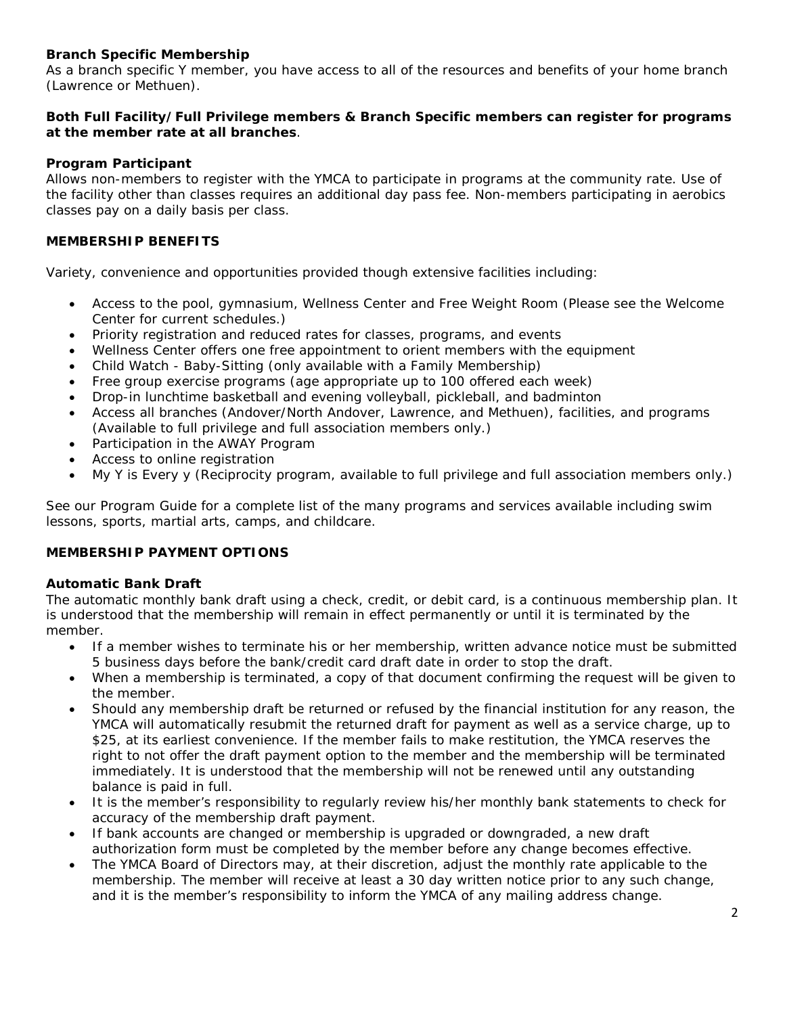## **Branch Specific Membership**

As a branch specific Y member, you have access to all of the resources and benefits of your home branch (Lawrence or Methuen).

## **Both Full Facility/Full Privilege members & Branch Specific members can register for programs at the member rate at all branches**.

## **Program Participant**

Allows non-members to register with the YMCA to participate in programs at the community rate. Use of the facility other than classes requires an additional day pass fee. Non-members participating in aerobics classes pay on a daily basis per class.

## **MEMBERSHIP BENEFITS**

Variety, convenience and opportunities provided though extensive facilities including:

- Access to the pool, gymnasium, Wellness Center and Free Weight Room (Please see the Welcome Center for current schedules.)
- Priority registration and reduced rates for classes, programs, and events
- Wellness Center offers one free appointment to orient members with the equipment
- Child Watch Baby-Sitting (only available with a Family Membership)
- Free group exercise programs (age appropriate up to 100 offered each week)
- Drop-in lunchtime basketball and evening volleyball, pickleball, and badminton
- Access all branches (Andover/North Andover, Lawrence, and Methuen), facilities, and programs (Available to full privilege and full association members only.)
- Participation in the AWAY Program
- Access to online registration
- My Y is Every y (Reciprocity program, available to full privilege and full association members only.)

See our Program Guide for a complete list of the many programs and services available including swim lessons, sports, martial arts, camps, and childcare.

## **MEMBERSHIP PAYMENT OPTIONS**

## **Automatic Bank Draft**

The automatic monthly bank draft using a check, credit, or debit card, is a continuous membership plan. It is understood that the membership will remain in effect permanently or until it is terminated by the member.

- If a member wishes to terminate his or her membership, written advance notice must be submitted 5 business days before the bank/credit card draft date in order to stop the draft.
- When a membership is terminated, a copy of that document confirming the request will be given to the member.
- Should any membership draft be returned or refused by the financial institution for any reason, the YMCA will automatically resubmit the returned draft for payment as well as a service charge, up to \$25, at its earliest convenience. If the member fails to make restitution, the YMCA reserves the right to not offer the draft payment option to the member and the membership will be terminated immediately. It is understood that the membership will not be renewed until any outstanding balance is paid in full.
- It is the member's responsibility to regularly review his/her monthly bank statements to check for accuracy of the membership draft payment.
- If bank accounts are changed or membership is upgraded or downgraded, a new draft authorization form must be completed by the member before any change becomes effective.
- The YMCA Board of Directors may, at their discretion, adjust the monthly rate applicable to the membership. The member will receive at least a 30 day written notice prior to any such change, and it is the member's responsibility to inform the YMCA of any mailing address change.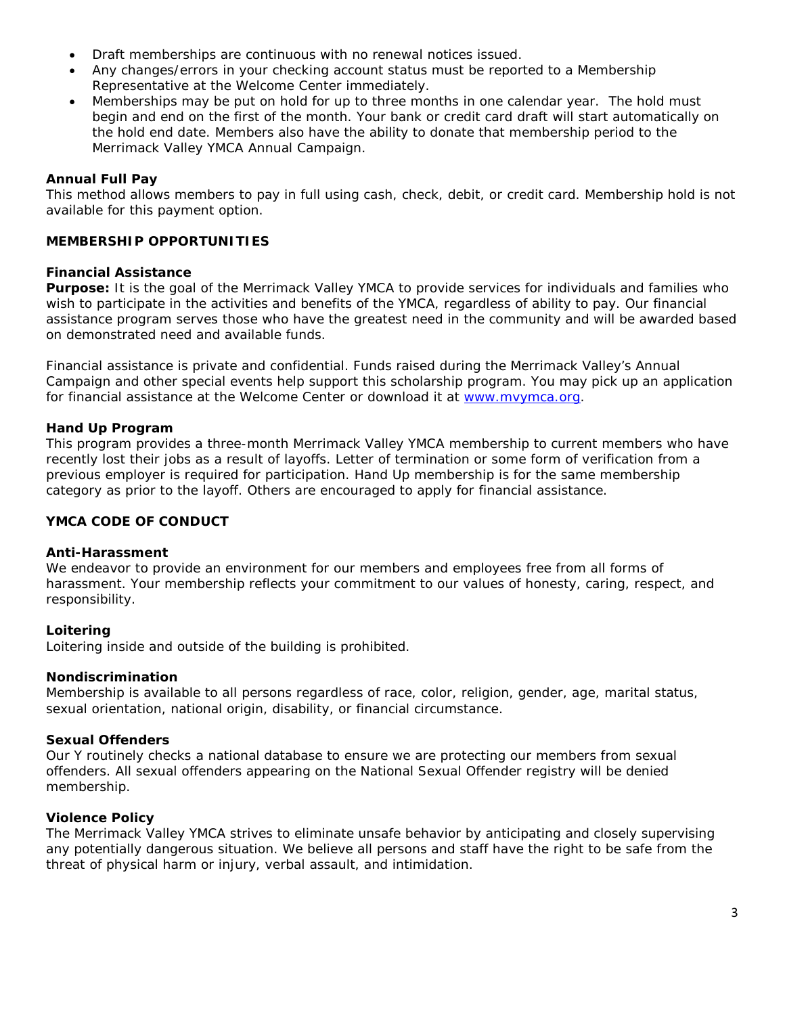- Draft memberships are continuous with no renewal notices issued.
- Any changes/errors in your checking account status *must be reported* to a Membership Representative at the Welcome Center immediately.
- Memberships may be put on hold for up to three months in one calendar year. The hold must begin and end on the first of the month. Your bank or credit card draft will start automatically on the hold end date. Members also have the ability to donate that membership period to the Merrimack Valley YMCA Annual Campaign.

## **Annual Full Pay**

This method allows members to pay in full using cash, check, debit, or credit card. Membership hold is not available for this payment option.

## **MEMBERSHIP OPPORTUNITIES**

## **Financial Assistance**

**Purpose:** It is the goal of the Merrimack Valley YMCA to provide services for individuals and families who wish to participate in the activities and benefits of the YMCA, regardless of ability to pay. Our financial assistance program serves those who have the greatest need in the community and will be awarded based on demonstrated need and available funds.

Financial assistance is private and confidential. Funds raised during the Merrimack Valley's Annual Campaign and other special events help support this scholarship program. You may pick up an application for financial assistance at the Welcome Center or download it at [www.mvymca.org.](http://www.mvymca.org/)

## **Hand Up Program**

This program provides a three-month Merrimack Valley YMCA membership to current members who have recently lost their jobs as a result of layoffs. Letter of termination or some form of verification from a previous employer is required for participation. Hand Up membership is for the same membership category as prior to the layoff. Others are encouraged to apply for financial assistance.

## **YMCA CODE OF CONDUCT**

## **Anti-Harassment**

We endeavor to provide an environment for our members and employees free from all forms of harassment. Your membership reflects your commitment to our values of honesty, caring, respect, and responsibility.

## **Loitering**

Loitering inside and outside of the building is prohibited.

## **Nondiscrimination**

Membership is available to all persons regardless of race, color, religion, gender, age, marital status, sexual orientation, national origin, disability, or financial circumstance.

## **Sexual Offenders**

Our Y routinely checks a national database to ensure we are protecting our members from sexual offenders. All sexual offenders appearing on the National Sexual Offender registry will be denied membership.

## **Violence Policy**

The Merrimack Valley YMCA strives to eliminate unsafe behavior by anticipating and closely supervising any potentially dangerous situation. We believe all persons and staff have the right to be safe from the threat of physical harm or injury, verbal assault, and intimidation.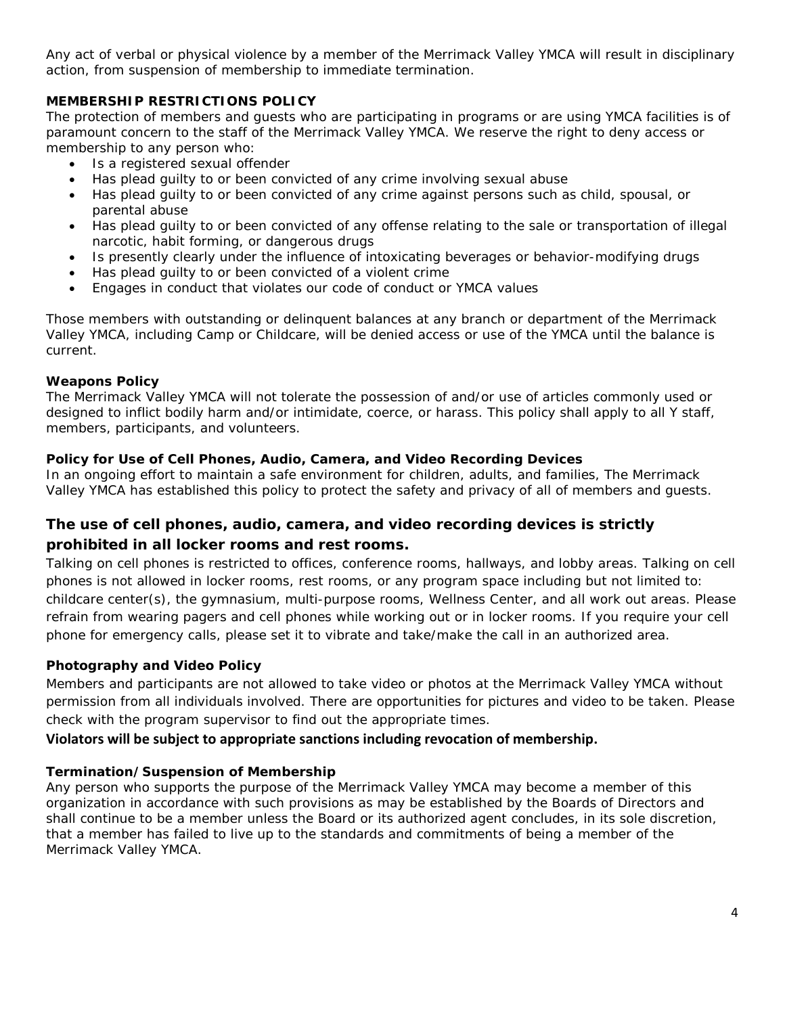Any act of verbal or physical violence by a member of the Merrimack Valley YMCA will result in disciplinary action, from suspension of membership to immediate termination.

## **MEMBERSHIP RESTRICTIONS POLICY**

The protection of members and guests who are participating in programs or are using YMCA facilities is of paramount concern to the staff of the Merrimack Valley YMCA. We reserve the right to deny access or membership to any person who:

- Is a registered sexual offender
- Has plead guilty to or been convicted of any crime involving sexual abuse
- Has plead guilty to or been convicted of any crime against persons such as child, spousal, or parental abuse
- Has plead guilty to or been convicted of any offense relating to the sale or transportation of illegal narcotic, habit forming, or dangerous drugs
- Is presently clearly under the influence of intoxicating beverages or behavior-modifying drugs
- Has plead guilty to or been convicted of a violent crime
- Engages in conduct that violates our code of conduct or YMCA values

Those members with outstanding or delinquent balances at any branch or department of the Merrimack Valley YMCA, including Camp or Childcare, will be denied access or use of the YMCA until the balance is current.

## **Weapons Policy**

The Merrimack Valley YMCA will not tolerate the possession of and/or use of articles commonly used or designed to inflict bodily harm and/or intimidate, coerce, or harass. This policy shall apply to all Y staff, members, participants, and volunteers.

## **Policy for Use of Cell Phones, Audio, Camera, and Video Recording Devices**

In an ongoing effort to maintain a safe environment for children, adults, and families, The Merrimack Valley YMCA has established this policy to protect the safety and privacy of all of members and guests.

## *The use of cell phones, audio, camera, and video recording devices is strictly prohibited in all locker rooms and rest rooms.*

Talking on cell phones is restricted to offices, conference rooms, hallways, and lobby areas. Talking on cell phones is not allowed in locker rooms, rest rooms, or any program space including but not limited to: childcare center(s), the gymnasium, multi-purpose rooms, Wellness Center, and all work out areas. Please refrain from wearing pagers and cell phones while working out or in locker rooms. If you require your cell phone for emergency calls, please set it to vibrate and take/make the call in an authorized area.

## **Photography and Video Policy**

Members and participants are not allowed to take video or photos at the Merrimack Valley YMCA without permission from all individuals involved. There are opportunities for pictures and video to be taken. Please check with the program supervisor to find out the appropriate times.

## **Violators will be subject to appropriate sanctions including revocation of membership.**

## **Termination/Suspension of Membership**

Any person who supports the purpose of the Merrimack Valley YMCA may become a member of this organization in accordance with such provisions as may be established by the Boards of Directors and shall continue to be a member unless the Board or its authorized agent concludes, in its sole discretion, that a member has failed to live up to the standards and commitments of being a member of the Merrimack Valley YMCA.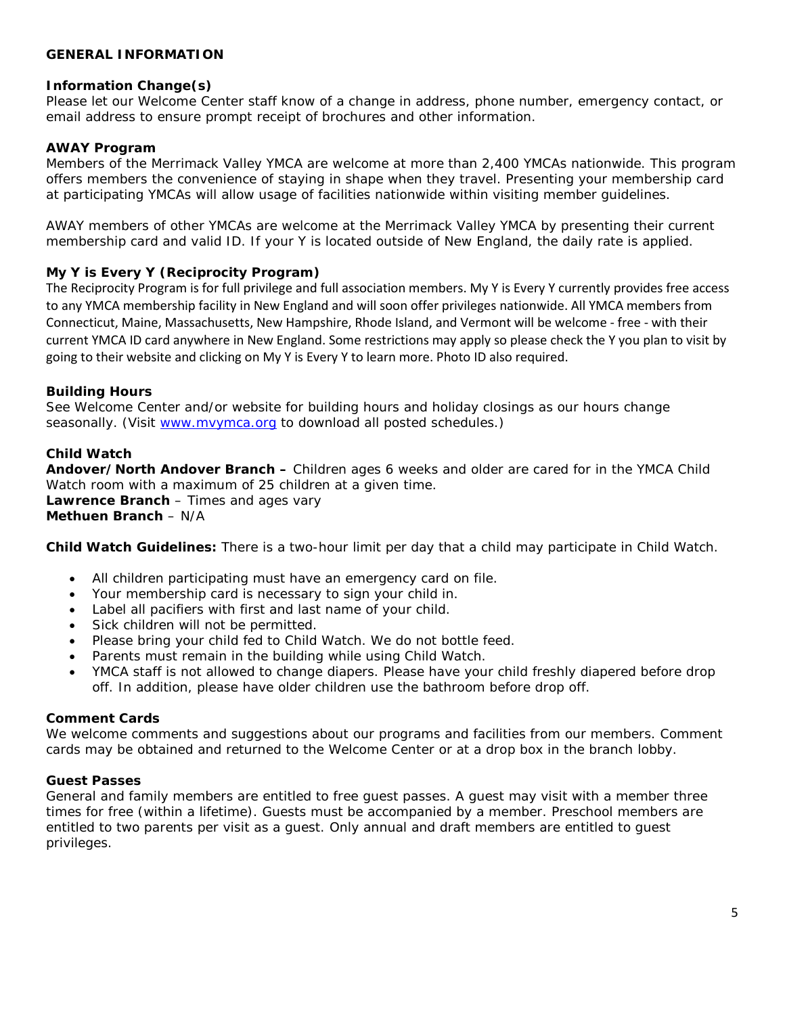## **GENERAL INFORMATION**

#### **Information Change(s)**

Please let our Welcome Center staff know of a change in address, phone number, emergency contact, or email address to ensure prompt receipt of brochures and other information.

#### **AWAY Program**

Members of the Merrimack Valley YMCA are welcome at more than 2,400 YMCAs nationwide. This program offers members the convenience of staying in shape when they travel. Presenting your membership card at participating YMCAs will allow usage of facilities nationwide within visiting member guidelines.

AWAY members of other YMCAs are welcome at the Merrimack Valley YMCA by presenting their current membership card and valid ID. If your Y is located outside of New England, the daily rate is applied.

#### **My Y is Every Y (Reciprocity Program)**

The Reciprocity Program is for full privilege and full association members. My Y is Every Y currently provides free access to any YMCA membership facility in New England and will soon offer privileges nationwide. All YMCA members from Connecticut, Maine, Massachusetts, New Hampshire, Rhode Island, and Vermont will be welcome - free - with their current YMCA ID card anywhere in New England. Some restrictions may apply so please check the Y you plan to visit by going to their website and clicking on My Y is Every Y to learn more. Photo ID also required.

#### **Building Hours**

See Welcome Center and/or website for building hours and holiday closings as our hours change seasonally. (Visit [www.mvymca.org](http://www.mvymca.org/) to download all posted schedules.)

#### **Child Watch**

**Andover/North Andover Branch –** Children ages 6 weeks and older are cared for in the YMCA Child Watch room with a maximum of 25 children at a given time. **Lawrence Branch** – Times and ages vary

**Methuen Branch** – N/A

*Child Watch Guidelines:* There is a two-hour limit per day that a child may participate in Child Watch.

- All children participating must have an emergency card on file.
- Your membership card is necessary to sign your child in.
- Label all pacifiers with first and last name of your child.
- Sick children will not be permitted.
- Please bring your child fed to Child Watch. We do not bottle feed.
- Parents must remain in the building while using Child Watch.
- YMCA staff is not allowed to change diapers. Please have your child freshly diapered before drop off. In addition, please have older children use the bathroom before drop off.

#### **Comment Cards**

We welcome comments and suggestions about our programs and facilities from our members. Comment cards may be obtained and returned to the Welcome Center or at a drop box in the branch lobby.

#### **Guest Passes**

General and family members are entitled to free guest passes. A guest may visit with a member three times for free (within a lifetime). Guests must be accompanied by a member. Preschool members are entitled to two parents per visit as a guest. Only annual and draft members are entitled to guest privileges.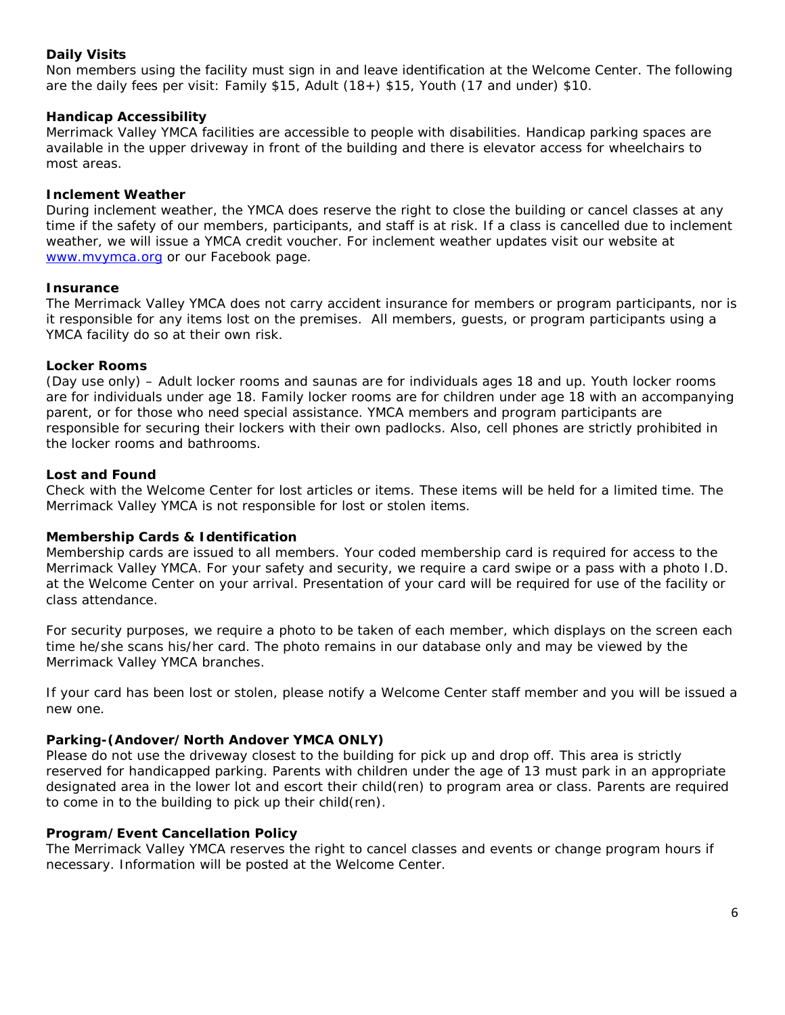## **Daily Visits**

Non members using the facility must sign in and leave identification at the Welcome Center. The following are the daily fees per visit: Family  $$15$ , Adult  $(18+)$   $$15$ , Youth (17 and under)  $$10$ .

## **Handicap Accessibility**

Merrimack Valley YMCA facilities are accessible to people with disabilities. Handicap parking spaces are available in the upper driveway in front of the building and there is elevator access for wheelchairs to most areas.

## **Inclement Weather**

During inclement weather, the YMCA does reserve the right to close the building or cancel classes at any time if the safety of our members, participants, and staff is at risk. If a class is cancelled due to inclement weather, we will issue a YMCA credit voucher. For inclement weather updates visit our website at [www.mvymca.org](http://www.mvymca.org/) or our Facebook page.

#### **Insurance**

The Merrimack Valley YMCA does not carry accident insurance for members or program participants, nor is it responsible for any items lost on the premises. All members, guests, or program participants using a YMCA facility do so at their own risk.

#### **Locker Rooms**

(Day use only) – Adult locker rooms and saunas are for individuals ages 18 and up. Youth locker rooms are for individuals under age 18. Family locker rooms are for children under age 18 with an accompanying parent, or for those who need special assistance. YMCA members and program participants are responsible for securing their lockers with their own padlocks. Also, cell phones are strictly prohibited in the locker rooms and bathrooms.

#### **Lost and Found**

Check with the Welcome Center for lost articles or items. These items will be held for a limited time. The Merrimack Valley YMCA is not responsible for lost or stolen items.

## **Membership Cards & Identification**

Membership cards are issued to all members. Your coded membership card is required for access to the Merrimack Valley YMCA. For your safety and security, we require a card swipe or a pass with a photo I.D. at the Welcome Center on your arrival. Presentation of your card will be required for use of the facility or class attendance.

For security purposes, we require a photo to be taken of each member, which displays on the screen each time he/she scans his/her card. The photo remains in our database only and may be viewed by the Merrimack Valley YMCA branches.

If your card has been lost or stolen, please notify a Welcome Center staff member and you will be issued a new one.

## **Parking-(Andover/North Andover YMCA ONLY)**

Please do not use the driveway closest to the building for pick up and drop off. This area is strictly reserved for handicapped parking. Parents with children under the age of 13 must park in an appropriate designated area in the lower lot and escort their child(ren) to program area or class. Parents are required to come in to the building to pick up their child(ren).

## **Program/Event Cancellation Policy**

The Merrimack Valley YMCA reserves the right to cancel classes and events or change program hours if necessary. Information will be posted at the Welcome Center.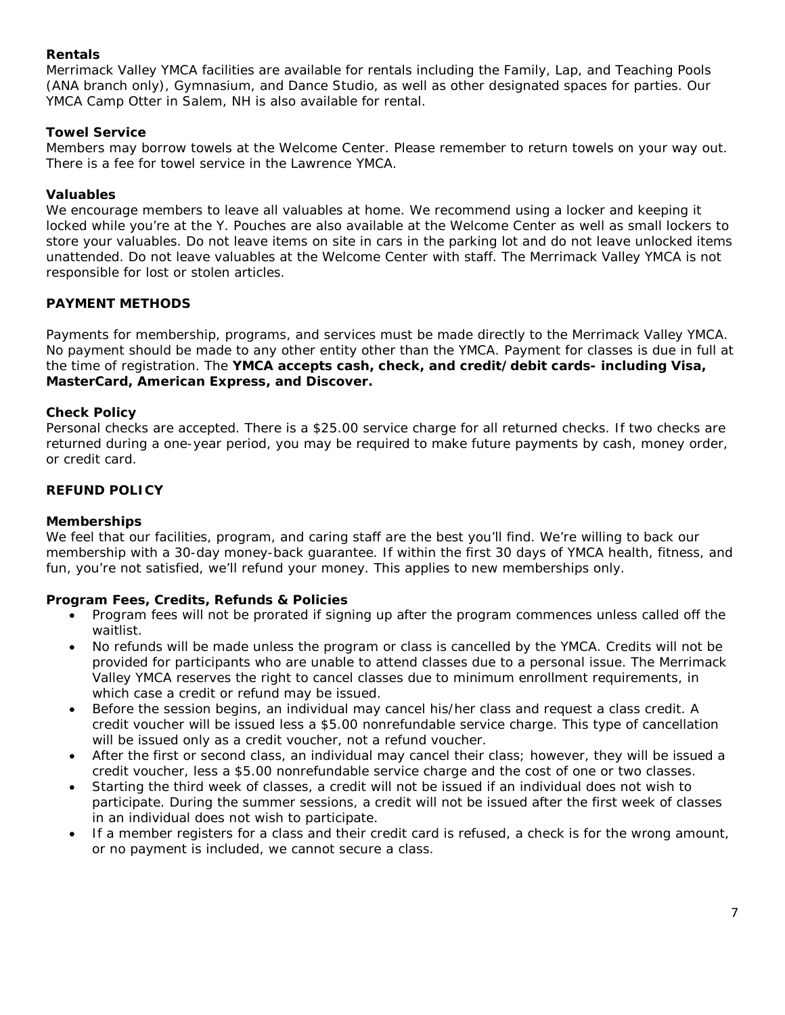## **Rentals**

Merrimack Valley YMCA facilities are available for rentals including the Family, Lap, and Teaching Pools (ANA branch only), Gymnasium, and Dance Studio, as well as other designated spaces for parties. Our YMCA Camp Otter in Salem, NH is also available for rental.

## **Towel Service**

Members may borrow towels at the Welcome Center. Please remember to return towels on your way out. There is a fee for towel service in the Lawrence YMCA.

## **Valuables**

We encourage members to leave all valuables at home. We recommend using a locker and keeping it locked while you're at the Y. Pouches are also available at the Welcome Center as well as small lockers to store your valuables. Do not leave items on site in cars in the parking lot and do not leave unlocked items unattended. Do not leave valuables at the Welcome Center with staff. The Merrimack Valley YMCA is not responsible for lost or stolen articles.

## **PAYMENT METHODS**

Payments for membership, programs, and services must be made directly to the Merrimack Valley YMCA. No payment should be made to any other entity other than the YMCA. Payment for classes is due in full at the time of registration. The **YMCA accepts cash, check, and credit/debit cards- including Visa, MasterCard, American Express, and Discover.**

## **Check Policy**

Personal checks are accepted. There is a \$25.00 service charge for all returned checks. If two checks are returned during a one-year period, you may be required to make future payments by cash, money order, or credit card.

## **REFUND POLICY**

## **Memberships**

We feel that our facilities, program, and caring staff are the best you'll find. We're willing to back our membership with a 30-day money-back guarantee. If within the first 30 days of YMCA health, fitness, and fun, you're not satisfied, we'll refund your money. This applies to new memberships only.

## **Program Fees, Credits, Refunds & Policies**

- Program fees will not be prorated if signing up after the program commences unless called off the waitlist.
- No refunds will be made unless the program or class is cancelled by the YMCA. Credits will not be provided for participants who are unable to attend classes due to a personal issue. The Merrimack Valley YMCA reserves the right to cancel classes due to minimum enrollment requirements, in which case a credit or refund may be issued.
- Before the session begins, an individual may cancel his/her class and request a class credit. A credit voucher will be issued less a \$5.00 nonrefundable service charge. This type of cancellation will be issued only as a credit voucher, not a refund voucher.
- After the first or second class, an individual may cancel their class; however, they will be issued a credit voucher, less a \$5.00 nonrefundable service charge and the cost of one or two classes.
- Starting the third week of classes, a credit will not be issued if an individual does not wish to participate. During the summer sessions, a credit will not be issued after the first week of classes in an individual does not wish to participate.
- If a member registers for a class and their credit card is refused, a check is for the wrong amount, or no payment is included, we cannot secure a class.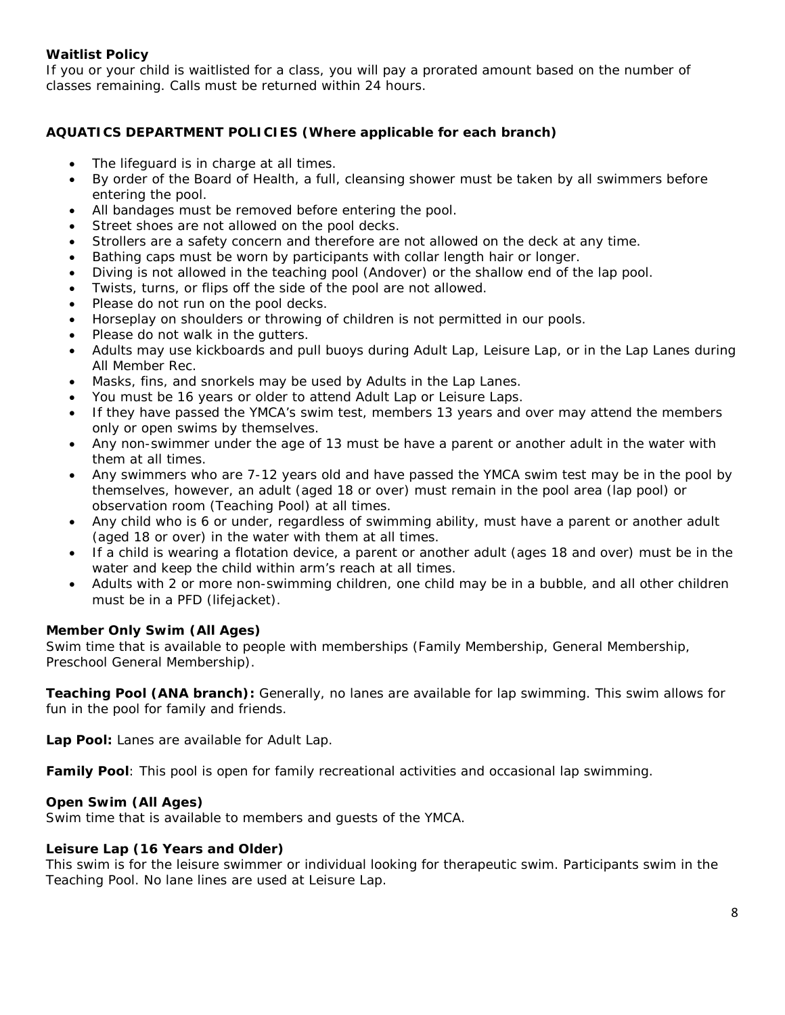## **Waitlist Policy**

If you or your child is waitlisted for a class, you will pay a prorated amount based on the number of classes remaining. Calls must be returned within 24 hours.

## **AQUATICS DEPARTMENT POLICIES (Where applicable for each branch)**

- The lifeguard is in charge at all times.
- By order of the Board of Health, a full, cleansing shower must be taken by all swimmers before entering the pool.
- All bandages must be removed before entering the pool.
- Street shoes are not allowed on the pool decks.
- Strollers are a safety concern and therefore are not allowed on the deck at any time.
- Bathing caps must be worn by participants with collar length hair or longer.
- Diving is not allowed in the teaching pool (Andover) or the shallow end of the lap pool.
- Twists, turns, or flips off the side of the pool are not allowed.
- Please do not run on the pool decks.
- Horseplay on shoulders or throwing of children is not permitted in our pools.
- Please do not walk in the gutters.
- Adults may use kickboards and pull buoys during Adult Lap, Leisure Lap, or in the Lap Lanes during All Member Rec.
- Masks, fins, and snorkels may be used by Adults in the Lap Lanes.
- You must be 16 years or older to attend Adult Lap or Leisure Laps.
- If they have passed the YMCA's swim test, members 13 years and over may attend the members only or open swims by themselves.
- Any non-swimmer under the age of 13 must be have a parent or another adult in the water with them at all times.
- Any swimmers who are 7-12 years old and have passed the YMCA swim test may be in the pool by themselves, however, an adult (aged 18 or over) must remain in the pool area (lap pool) or observation room (Teaching Pool) at all times.
- Any child who is 6 or under, regardless of swimming ability, must have a parent or another adult (aged 18 or over) in the water with them at all times.
- If a child is wearing a flotation device, a parent or another adult (ages 18 and over) must be in the water and keep the child within arm's reach at all times.
- Adults with 2 or more non-swimming children, one child may be in a bubble, and all other children must be in a PFD (lifejacket).

## **Member Only Swim (All Ages)**

Swim time that is available to people with memberships (Family Membership, General Membership, Preschool General Membership).

**Teaching Pool (ANA branch):** Generally, no lanes are available for lap swimming. This swim allows for fun in the pool for family and friends.

**Lap Pool:** Lanes are available for Adult Lap.

**Family Pool**: This pool is open for family recreational activities and occasional lap swimming.

## **Open Swim (All Ages)**

Swim time that is available to members and guests of the YMCA.

## **Leisure Lap (16 Years and Older)**

This swim is for the leisure swimmer or individual looking for therapeutic swim. Participants swim in the Teaching Pool. No lane lines are used at Leisure Lap.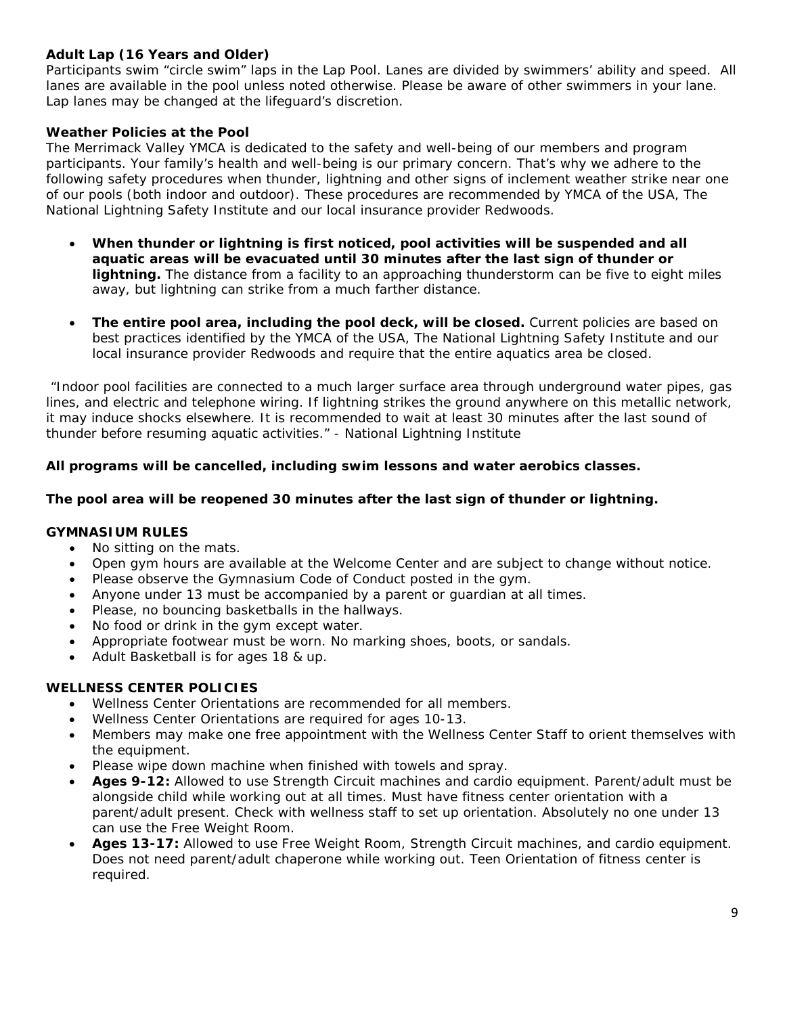## **Adult Lap (16 Years and Older)**

Participants swim "circle swim" laps in the Lap Pool. Lanes are divided by swimmers' ability and speed. All lanes are available in the pool unless noted otherwise. Please be aware of other swimmers in your lane. Lap lanes may be changed at the lifeguard's discretion.

## **Weather Policies at the Pool**

The Merrimack Valley YMCA is dedicated to the safety and well-being of our members and program participants. Your family's health and well-being is our primary concern. That's why we adhere to the following safety procedures when thunder, lightning and other signs of inclement weather strike near one of our pools (both indoor and outdoor). These procedures are recommended by YMCA of the USA, The National Lightning Safety Institute and our local insurance provider Redwoods.

- **When thunder or lightning is first noticed, pool activities will be suspended and all aquatic areas will be evacuated until 30 minutes after the last sign of thunder or lightning.** The distance from a facility to an approaching thunderstorm can be five to eight miles away, but lightning can strike from a much farther distance.
- **The entire pool area, including the pool deck, will be closed.** Current policies are based on best practices identified by the YMCA of the USA, The National Lightning Safety Institute and our local insurance provider Redwoods and require that the entire aquatics area be closed.

*"Indoor pool facilities are connected to a much larger surface area through underground water pipes, gas lines, and electric and telephone wiring. If lightning strikes the ground anywhere on this metallic network, it may induce shocks elsewhere. It is recommended to wait at least 30 minutes after the last sound of thunder before resuming aquatic activities." - National Lightning Institute* 

## **All programs will be cancelled, including swim lessons and water aerobics classes.**

## **The pool area will be reopened 30 minutes after the last sign of thunder or lightning.**

## **GYMNASIUM RULES**

- No sitting on the mats.
- Open gym hours are available at the Welcome Center and are subject to change without notice.
- Please observe the Gymnasium Code of Conduct posted in the gym.
- Anyone under 13 must be accompanied by a parent or guardian at all times.
- Please, no bouncing basketballs in the hallways.
- No food or drink in the gym except water.
- Appropriate footwear must be worn. No marking shoes, boots, or sandals.
- Adult Basketball is for ages 18 & up.

## **WELLNESS CENTER POLICIES**

- Wellness Center Orientations are recommended for all members.
- Wellness Center Orientations are required for ages 10-13.
- Members may make one free appointment with the Wellness Center Staff to orient themselves with the equipment.
- Please wipe down machine when finished with towels and spray.
- **Ages 9-12:** Allowed to use Strength Circuit machines and cardio equipment. Parent/adult must be alongside child while working out at all times. Must have fitness center orientation with a parent/adult present. Check with wellness staff to set up orientation. Absolutely no one under 13 can use the Free Weight Room.
- **Ages 13-17:** Allowed to use Free Weight Room, Strength Circuit machines, and cardio equipment. Does not need parent/adult chaperone while working out. Teen Orientation of fitness center is required.